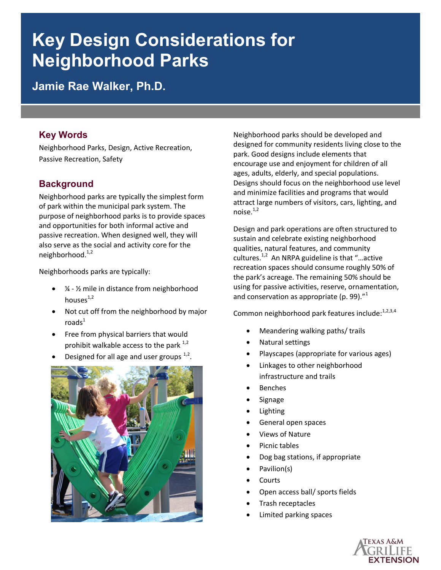# **Key Design Considerations for Neighborhood Parks**

**Jamie Rae Walker, Ph.D.** 

## **Key Words**

Neighborhood Parks, Design, Active Recreation, Passive Recreation, Safety

# **Background**

Neighborhood parks are typically the simplest form of park within the municipal park system. The purpose of neighborhood parks is to provide spaces and opportunities for both informal active and passive recreation. When designed well, they will also serve as the social and activity core for the neighborhood.<sup>1,2</sup>

Neighborhoods parks are typically:

- $\bullet$   $\frac{1}{4}$   $\frac{1}{2}$  mile in distance from neighborhood houses $1,2$
- Not cut off from the neighborhood by major  $\mathsf{roads}^1$
- Free from physical barriers that would prohibit walkable access to the park  $^{1,2}$
- Designed for all age and user groups  $1,2$ .



Neighborhood parks should be developed and designed for community residents living close to the park. Good designs include elements that encourage use and enjoyment for children of all ages, adults, elderly, and special populations. Designs should focus on the neighborhood use level and minimize facilities and programs that would attract large numbers of visitors, cars, lighting, and noise.<sup>1,2</sup>

Design and park operations are often structured to sustain and celebrate existing neighborhood qualities, natural features, and community cultures.<sup>1,2</sup> An NRPA guideline is that "...active recreation spaces should consume roughly 50% of the park's acreage. The remaining 50% should be using for passive activities, reserve, ornamentation, and conservation as appropriate (p. 99). $^{\prime\prime}{}^{1}$ 

Common neighborhood park features include:<sup>1,2,3,4</sup>

- Meandering walking paths/ trails
- Natural settings
- Playscapes (appropriate for various ages)
- Linkages to other neighborhood infrastructure and trails
- Benches
- Signage
- Lighting
- General open spaces
- Views of Nature
- Picnic tables
- Dog bag stations, if appropriate
- Pavilion(s)
- Courts
- Open access ball/ sports fields
- Trash receptacles
- Limited parking spaces